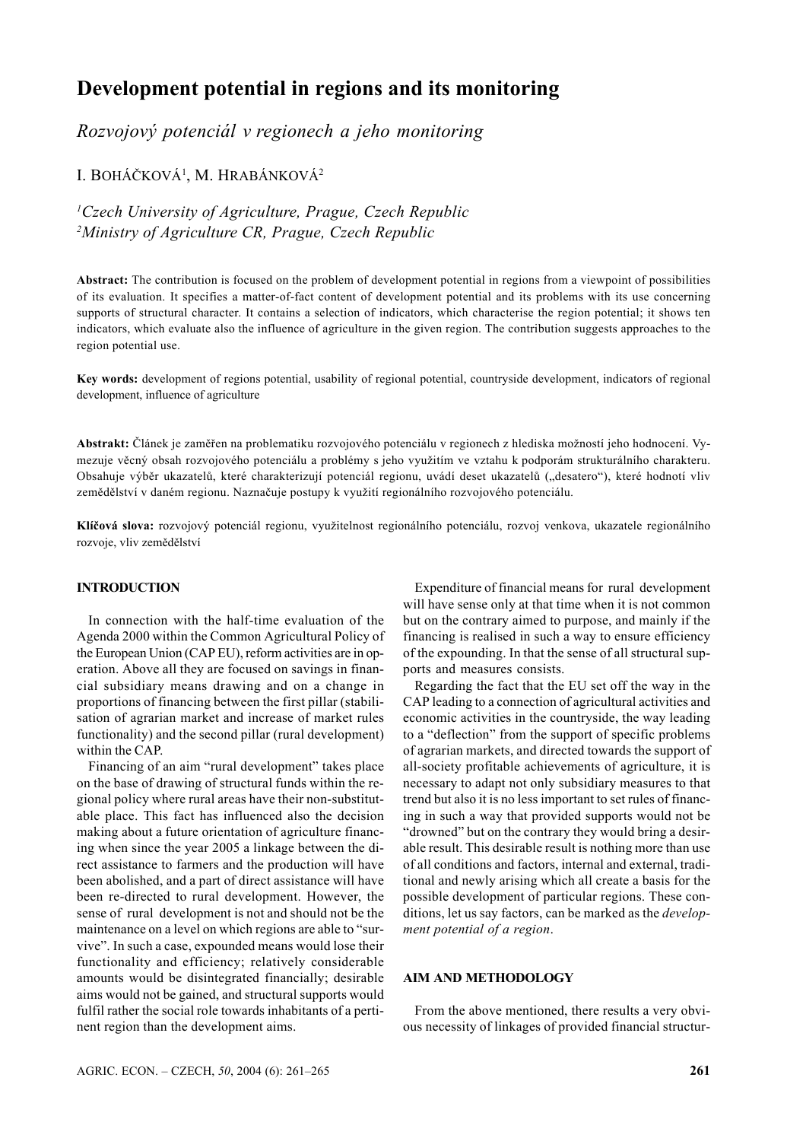# **Development potential in regions and its monitoring**

*Rozvojový potenciál v regionech a jeho monitoring*

## I. BOHÁČKOVÁ<sup>1</sup>, M. Hrabánková<sup>2</sup>

*1 Czech University of Agriculture, Prague, Czech Republic 2 Ministry of Agriculture CR, Prague, Czech Republic*

**Abstract:** The contribution is focused on the problem of development potential in regions from a viewpoint of possibilities of its evaluation. It specifies a matter-of-fact content of development potential and its problems with its use concerning supports of structural character. It contains a selection of indicators, which characterise the region potential; it shows ten indicators, which evaluate also the influence of agriculture in the given region. The contribution suggests approaches to the region potential use.

**Key words:** development of regions potential, usability of regional potential, countryside development, indicators of regional development, influence of agriculture

**Abstrakt:** Článek je zaměřen na problematiku rozvojového potenciálu v regionech z hlediska možností jeho hodnocení. Vymezuje věcný obsah rozvojového potenciálu a problémy s jeho využitím ve vztahu k podporám strukturálního charakteru. Obsahuje výběr ukazatelů, které charakterizují potenciál regionu, uvádí deset ukazatelů ("desatero"), které hodnotí vliv zemědělství v daném regionu. Naznačuje postupy k využití regionálního rozvojového potenciálu.

**Klíčová slova:** rozvojový potenciál regionu, využitelnost regionálního potenciálu, rozvoj venkova, ukazatele regionálního rozvoje, vliv zemědělství

### **INTRODUCTION**

In connection with the half-time evaluation of the Agenda 2000 within the Common Agricultural Policy of the European Union (CAP EU), reform activities are in operation. Above all they are focused on savings in financial subsidiary means drawing and on a change in proportions of financing between the first pillar (stabilisation of agrarian market and increase of market rules functionality) and the second pillar (rural development) within the CAP.

Financing of an aim "rural development" takes place on the base of drawing of structural funds within the regional policy where rural areas have their non-substitutable place. This fact has influenced also the decision making about a future orientation of agriculture financing when since the year 2005 a linkage between the direct assistance to farmers and the production will have been abolished, and a part of direct assistance will have been re-directed to rural development. However, the sense of rural development is not and should not be the maintenance on a level on which regions are able to "survive". In such a case, expounded means would lose their functionality and efficiency; relatively considerable amounts would be disintegrated financially; desirable aims would not be gained, and structural supports would fulfil rather the social role towards inhabitants of a pertinent region than the development aims.

Expenditure of financial means for rural development will have sense only at that time when it is not common but on the contrary aimed to purpose, and mainly if the financing is realised in such a way to ensure efficiency of the expounding. In that the sense of all structural supports and measures consists.

Regarding the fact that the EU set off the way in the CAP leading to a connection of agricultural activities and economic activities in the countryside, the way leading to a "deflection" from the support of specific problems of agrarian markets, and directed towards the support of all-society profitable achievements of agriculture, it is necessary to adapt not only subsidiary measures to that trend but also it is no less important to set rules of financing in such a way that provided supports would not be "drowned" but on the contrary they would bring a desirable result. This desirable result is nothing more than use of all conditions and factors, internal and external, traditional and newly arising which all create a basis for the possible development of particular regions. These conditions, let us say factors, can be marked as the *development potential of a region*.

#### **AIM AND METHODOLOGY**

From the above mentioned, there results a very obvious necessity of linkages of provided financial structur-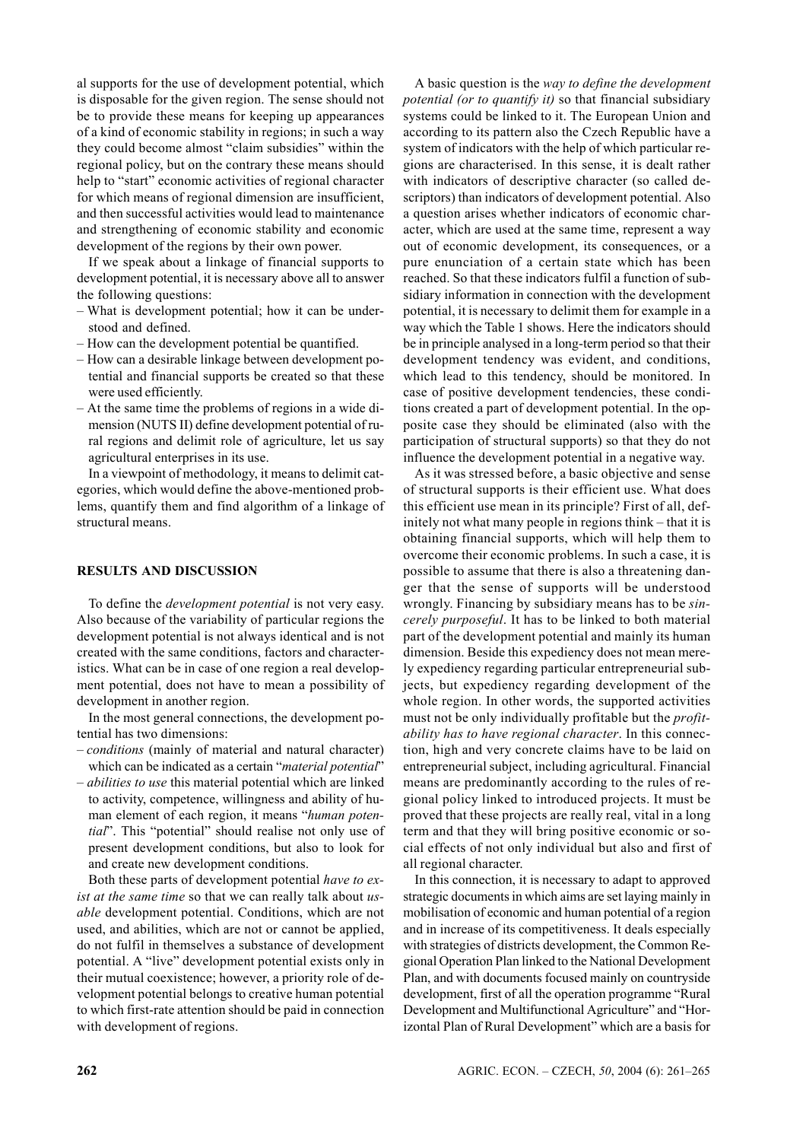al supports for the use of development potential, which is disposable for the given region. The sense should not be to provide these means for keeping up appearances of a kind of economic stability in regions; in such a way they could become almost "claim subsidies" within the regional policy, but on the contrary these means should help to "start" economic activities of regional character for which means of regional dimension are insufficient, and then successful activities would lead to maintenance and strengthening of economic stability and economic development of the regions by their own power.

If we speak about a linkage of financial supports to development potential, it is necessary above all to answer the following questions:

- What is development potential; how it can be understood and defined.
- How can the development potential be quantified.
- How can a desirable linkage between development potential and financial supports be created so that these were used efficiently.
- At the same time the problems of regions in a wide dimension (NUTS II) define development potential of rural regions and delimit role of agriculture, let us say agricultural enterprises in its use.

In a viewpoint of methodology, it means to delimit categories, which would define the above-mentioned problems, quantify them and find algorithm of a linkage of structural means.

#### **RESULTS AND DISCUSSION**

To define the *development potential* is not very easy. Also because of the variability of particular regions the development potential is not always identical and is not created with the same conditions, factors and characteristics. What can be in case of one region a real development potential, does not have to mean a possibility of development in another region.

In the most general connections, the development potential has two dimensions:

- *conditions* (mainly of material and natural character) which can be indicated as a certain "*material potential*"
- *abilities to use* this material potential which are linked to activity, competence, willingness and ability of human element of each region, it means "*human potential*". This "potential" should realise not only use of present development conditions, but also to look for and create new development conditions.

Both these parts of development potential *have to exist at the same time* so that we can really talk about *usable* development potential. Conditions, which are not used, and abilities, which are not or cannot be applied, do not fulfil in themselves a substance of development potential. A "live" development potential exists only in their mutual coexistence; however, a priority role of development potential belongs to creative human potential to which first-rate attention should be paid in connection with development of regions.

A basic question is the *way to define the development potential (or to quantify it)* so that financial subsidiary systems could be linked to it. The European Union and according to its pattern also the Czech Republic have a system of indicators with the help of which particular regions are characterised. In this sense, it is dealt rather with indicators of descriptive character (so called descriptors) than indicators of development potential. Also a question arises whether indicators of economic character, which are used at the same time, represent a way out of economic development, its consequences, or a pure enunciation of a certain state which has been reached. So that these indicators fulfil a function of subsidiary information in connection with the development potential, it is necessary to delimit them for example in a way which the Table 1 shows. Here the indicators should be in principle analysed in a long-term period so that their development tendency was evident, and conditions, which lead to this tendency, should be monitored. In case of positive development tendencies, these conditions created a part of development potential. In the opposite case they should be eliminated (also with the participation of structural supports) so that they do not influence the development potential in a negative way.

As it was stressed before, a basic objective and sense of structural supports is their efficient use. What does this efficient use mean in its principle? First of all, definitely not what many people in regions think – that it is obtaining financial supports, which will help them to overcome their economic problems. In such a case, it is possible to assume that there is also a threatening danger that the sense of supports will be understood wrongly. Financing by subsidiary means has to be *sincerely purposeful*. It has to be linked to both material part of the development potential and mainly its human dimension. Beside this expediency does not mean merely expediency regarding particular entrepreneurial subjects, but expediency regarding development of the whole region. In other words, the supported activities must not be only individually profitable but the *profitability has to have regional character*. In this connection, high and very concrete claims have to be laid on entrepreneurial subject, including agricultural. Financial means are predominantly according to the rules of regional policy linked to introduced projects. It must be proved that these projects are really real, vital in a long term and that they will bring positive economic or social effects of not only individual but also and first of all regional character.

In this connection, it is necessary to adapt to approved strategic documents in which aims are set laying mainly in mobilisation of economic and human potential of a region and in increase of its competitiveness. It deals especially with strategies of districts development, the Common Regional Operation Plan linked to the National Development Plan, and with documents focused mainly on countryside development, first of all the operation programme "Rural Development and Multifunctional Agriculture" and "Horizontal Plan of Rural Development" which are a basis for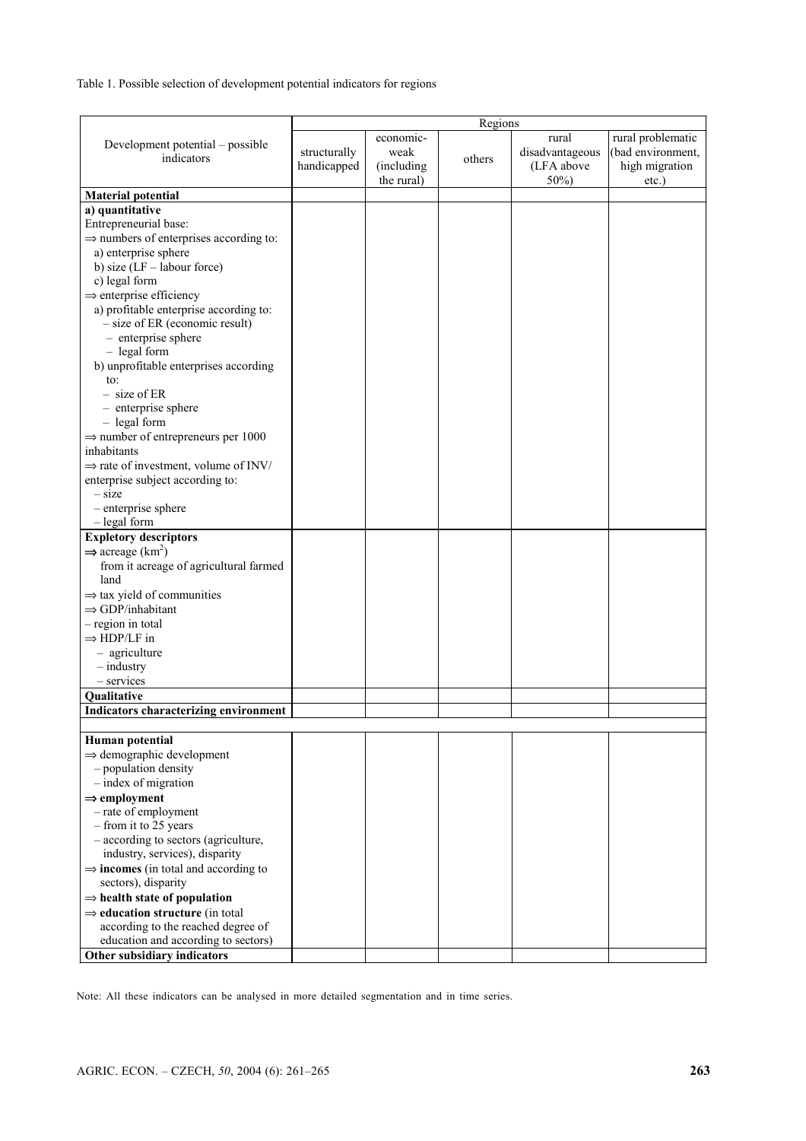Table 1. Possible selection of development potential indicators for regions

|                                                                        | Regions                     |                                               |        |                                                |                                                                      |
|------------------------------------------------------------------------|-----------------------------|-----------------------------------------------|--------|------------------------------------------------|----------------------------------------------------------------------|
| Development potential – possible<br>indicators                         | structurally<br>handicapped | economic-<br>weak<br>(including<br>the rural) | others | rural<br>disadvantageous<br>(LFA above<br>50%) | rural problematic<br>(bad environment,<br>high migration<br>$etc.$ ) |
|                                                                        |                             |                                               |        |                                                |                                                                      |
| <b>Material potential</b>                                              |                             |                                               |        |                                                |                                                                      |
| a) quantitative                                                        |                             |                                               |        |                                                |                                                                      |
| Entrepreneurial base:                                                  |                             |                                               |        |                                                |                                                                      |
| $\Rightarrow$ numbers of enterprises according to:                     |                             |                                               |        |                                                |                                                                      |
| a) enterprise sphere                                                   |                             |                                               |        |                                                |                                                                      |
| b) size $(LF - labour force)$                                          |                             |                                               |        |                                                |                                                                      |
| c) legal form                                                          |                             |                                               |        |                                                |                                                                      |
| $\Rightarrow$ enterprise efficiency                                    |                             |                                               |        |                                                |                                                                      |
| a) profitable enterprise according to:                                 |                             |                                               |        |                                                |                                                                      |
| $-$ size of ER (economic result)                                       |                             |                                               |        |                                                |                                                                      |
| - enterprise sphere                                                    |                             |                                               |        |                                                |                                                                      |
| $-$ legal form                                                         |                             |                                               |        |                                                |                                                                      |
| b) unprofitable enterprises according                                  |                             |                                               |        |                                                |                                                                      |
| to:<br>$-$ size of ER                                                  |                             |                                               |        |                                                |                                                                      |
|                                                                        |                             |                                               |        |                                                |                                                                      |
| - enterprise sphere<br>$-$ legal form                                  |                             |                                               |        |                                                |                                                                      |
|                                                                        |                             |                                               |        |                                                |                                                                      |
| $\Rightarrow$ number of entrepreneurs per 1000<br>inhabitants          |                             |                                               |        |                                                |                                                                      |
|                                                                        |                             |                                               |        |                                                |                                                                      |
| $\Rightarrow$ rate of investment, volume of INV/                       |                             |                                               |        |                                                |                                                                      |
| enterprise subject according to:<br>$-$ size                           |                             |                                               |        |                                                |                                                                      |
|                                                                        |                             |                                               |        |                                                |                                                                      |
| - enterprise sphere<br>$-\log a$ form                                  |                             |                                               |        |                                                |                                                                      |
| <b>Expletory descriptors</b>                                           |                             |                                               |        |                                                |                                                                      |
|                                                                        |                             |                                               |        |                                                |                                                                      |
| $\Rightarrow$ acreage (km <sup>2</sup> )                               |                             |                                               |        |                                                |                                                                      |
| from it acreage of agricultural farmed<br>land                         |                             |                                               |        |                                                |                                                                      |
|                                                                        |                             |                                               |        |                                                |                                                                      |
| $\Rightarrow$ tax yield of communities                                 |                             |                                               |        |                                                |                                                                      |
| $\Rightarrow$ GDP/inhabitant                                           |                             |                                               |        |                                                |                                                                      |
| - region in total                                                      |                             |                                               |        |                                                |                                                                      |
| $\Rightarrow$ HDP/LF in                                                |                             |                                               |        |                                                |                                                                      |
| $-$ agriculture                                                        |                             |                                               |        |                                                |                                                                      |
| $-$ industry                                                           |                             |                                               |        |                                                |                                                                      |
| $-$ services                                                           |                             |                                               |        |                                                |                                                                      |
| <b>Qualitative</b>                                                     |                             |                                               |        |                                                |                                                                      |
| Indicators characterizing environment                                  |                             |                                               |        |                                                |                                                                      |
|                                                                        |                             |                                               |        |                                                |                                                                      |
| <b>Human</b> potential                                                 |                             |                                               |        |                                                |                                                                      |
| $\Rightarrow$ demographic development                                  |                             |                                               |        |                                                |                                                                      |
| - population density                                                   |                             |                                               |        |                                                |                                                                      |
| $-$ index of migration                                                 |                             |                                               |        |                                                |                                                                      |
| $\Rightarrow$ employment                                               |                             |                                               |        |                                                |                                                                      |
| - rate of employment<br>$-$ from it to 25 years                        |                             |                                               |        |                                                |                                                                      |
|                                                                        |                             |                                               |        |                                                |                                                                      |
| - according to sectors (agriculture,<br>industry, services), disparity |                             |                                               |        |                                                |                                                                      |
| $\Rightarrow$ incomes (in total and according to                       |                             |                                               |        |                                                |                                                                      |
| sectors), disparity                                                    |                             |                                               |        |                                                |                                                                      |
|                                                                        |                             |                                               |        |                                                |                                                                      |
| $\Rightarrow$ health state of population                               |                             |                                               |        |                                                |                                                                      |
| $\Rightarrow$ education structure (in total                            |                             |                                               |        |                                                |                                                                      |
| according to the reached degree of                                     |                             |                                               |        |                                                |                                                                      |
| education and according to sectors)                                    |                             |                                               |        |                                                |                                                                      |
| Other subsidiary indicators                                            |                             |                                               |        |                                                |                                                                      |

Note: All these indicators can be analysed in more detailed segmentation and in time series.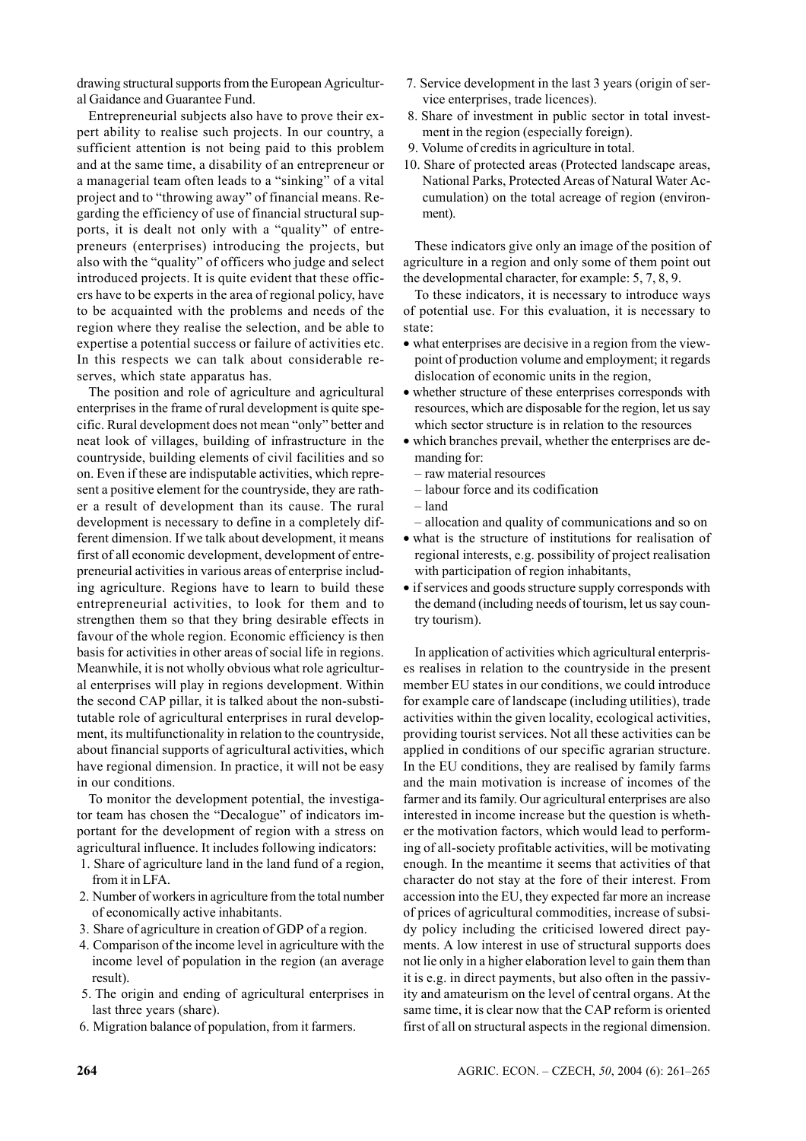drawing structural supports from the European Agricultural Gaidance and Guarantee Fund.

Entrepreneurial subjects also have to prove their expert ability to realise such projects. In our country, a sufficient attention is not being paid to this problem and at the same time, a disability of an entrepreneur or a managerial team often leads to a "sinking" of a vital project and to "throwing away" of financial means. Regarding the efficiency of use of financial structural supports, it is dealt not only with a "quality" of entrepreneurs (enterprises) introducing the projects, but also with the "quality" of officers who judge and select introduced projects. It is quite evident that these officers have to be experts in the area of regional policy, have to be acquainted with the problems and needs of the region where they realise the selection, and be able to expertise a potential success or failure of activities etc. In this respects we can talk about considerable reserves, which state apparatus has.

The position and role of agriculture and agricultural enterprises in the frame of rural development is quite specific. Rural development does not mean "only" better and neat look of villages, building of infrastructure in the countryside, building elements of civil facilities and so on. Even if these are indisputable activities, which represent a positive element for the countryside, they are rather a result of development than its cause. The rural development is necessary to define in a completely different dimension. If we talk about development, it means first of all economic development, development of entrepreneurial activities in various areas of enterprise including agriculture. Regions have to learn to build these entrepreneurial activities, to look for them and to strengthen them so that they bring desirable effects in favour of the whole region. Economic efficiency is then basis for activities in other areas of social life in regions. Meanwhile, it is not wholly obvious what role agricultural enterprises will play in regions development. Within the second CAP pillar, it is talked about the non-substitutable role of agricultural enterprises in rural development, its multifunctionality in relation to the countryside, about financial supports of agricultural activities, which have regional dimension. In practice, it will not be easy in our conditions.

To monitor the development potential, the investigator team has chosen the "Decalogue" of indicators important for the development of region with a stress on agricultural influence. It includes following indicators:

- 1. Share of agriculture land in the land fund of a region, from it in LFA.
- 2. Number of workers in agriculture from the total number of economically active inhabitants.
- 3. Share of agriculture in creation of GDP of a region.
- 4. Comparison of the income level in agriculture with the income level of population in the region (an average result).
- 5. The origin and ending of agricultural enterprises in last three years (share).
- 6. Migration balance of population, from it farmers.
- 7. Service development in the last 3 years (origin of service enterprises, trade licences).
- 8. Share of investment in public sector in total investment in the region (especially foreign).
- 9. Volume of credits in agriculture in total.
- 10. Share of protected areas (Protected landscape areas, National Parks, Protected Areas of Natural Water Accumulation) on the total acreage of region (environment).

These indicators give only an image of the position of agriculture in a region and only some of them point out the developmental character, for example: 5, 7, 8, 9.

To these indicators, it is necessary to introduce ways of potential use. For this evaluation, it is necessary to state:

- what enterprises are decisive in a region from the viewpoint of production volume and employment; it regards dislocation of economic units in the region,
- whether structure of these enterprises corresponds with resources, which are disposable for the region, let us say which sector structure is in relation to the resources
- which branches prevail, whether the enterprises are demanding for:
	- raw material resources
	- labour force and its codification
	- land
	- allocation and quality of communications and so on
- what is the structure of institutions for realisation of regional interests, e.g. possibility of project realisation with participation of region inhabitants,
- if services and goods structure supply corresponds with the demand (including needs of tourism, let us say country tourism).

In application of activities which agricultural enterprises realises in relation to the countryside in the present member EU states in our conditions, we could introduce for example care of landscape (including utilities), trade activities within the given locality, ecological activities, providing tourist services. Not all these activities can be applied in conditions of our specific agrarian structure. In the EU conditions, they are realised by family farms and the main motivation is increase of incomes of the farmer and its family. Our agricultural enterprises are also interested in income increase but the question is whether the motivation factors, which would lead to performing of all-society profitable activities, will be motivating enough. In the meantime it seems that activities of that character do not stay at the fore of their interest. From accession into the EU, they expected far more an increase of prices of agricultural commodities, increase of subsidy policy including the criticised lowered direct payments. A low interest in use of structural supports does not lie only in a higher elaboration level to gain them than it is e.g. in direct payments, but also often in the passivity and amateurism on the level of central organs. At the same time, it is clear now that the CAP reform is oriented first of all on structural aspects in the regional dimension.